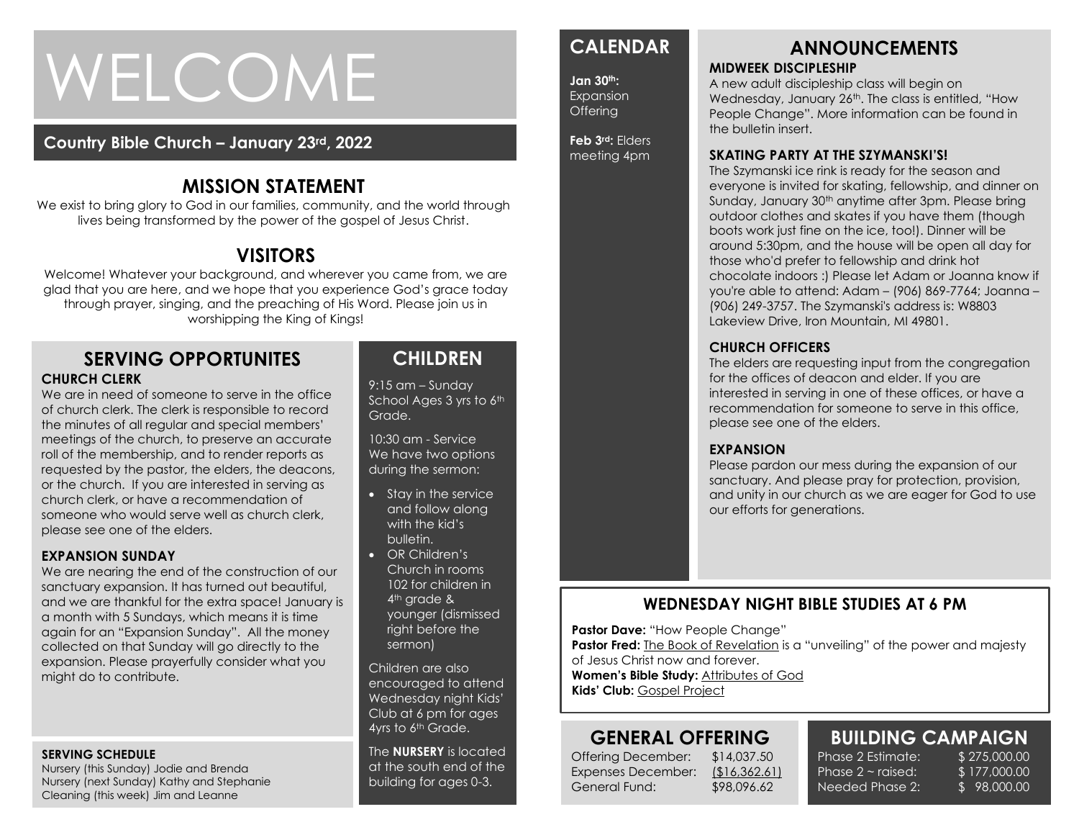# WELCOME

#### **Country Bible Church – January 23rd, 2022**

# **MISSION STATEMENT**

We exist to bring glory to God in our families, community, and the world through lives being transformed by the power of the gospel of Jesus Christ.

# **VISITORS**

Welcome! Whatever your background, and wherever you came from, we are glad that you are here, and we hope that you experience God's grace today through prayer, singing, and the preaching of His Word. Please join us in worshipping the King of Kings!

#### **SERVING OPPORTUNITES CHURCH CLERK**

or the church. If you are interested in serving as<br>church clerk, or have a recommendation of We are in need of someone to serve in the office of church clerk. The clerk is responsible to record the minutes of all regular and special members' meetings of the church, to preserve an accurate roll of the membership, and to render reports as requested by the pastor, the elders, the deacons, church clerk, or have a recommendation of someone who would serve well as church clerk, please see one of the elders.

#### **EXPANSION SUNDAY**

We are nearing the end of the construction of our sanctuary expansion. It has turned out beautiful, and we are thankful for the extra space! January is a month with 5 Sundays, which means it is time again for an "Expansion Sunday". All the money collected on that Sunday will go directly to the expansion. Please prayerfully consider what you might do to contribute.

#### **SERVING SCHEDULE**

Nursery (this Sunday) Jodie and Brenda Nursery (next Sunday) Kathy and Stephanie Cleaning (this week) Jim and Leanne

# **CHILDREN**

9:15 am – Sunday School Ages 3 yrs to 6th Grade.

10:30 am - Service We have two options during the sermon:

- Stay in the service and follow along with the kid's bulletin.
- OR Children's Church in rooms 102 for children in 4<sup>th</sup> grade & younger (dismissed right before the sermon)

Children are also encouraged to attend Wednesday night Kids' Club at 6 pm for ages 4yrs to 6<sup>th</sup> Grade.

The **NURSERY** is located at the south end of the building for ages 0-3.

# **CALENDAR**

**Jan 30th:**  Expansion Offering

**Feb 3rd:** Elders meeting 4pm

#### **ANNOUNCEMENTS MIDWEEK DISCIPLESHIP**

A new adult discipleship class will begin on Wednesday, January 26<sup>th</sup>. The class is entitled, "How People Change". More information can be found in the bulletin insert.

#### **SKATING PARTY AT THE SZYMANSKI'S!**

The Szymanski ice rink is ready for the season and everyone is invited for skating, fellowship, and dinner on Sunday, January 30<sup>th</sup> anytime after 3pm. Please bring outdoor clothes and skates if you have them (though boots work just fine on the ice, too!). Dinner will be around 5:30pm, and the house will be open all day for those who'd prefer to fellowship and drink hot chocolate indoors :) Please let Adam or Joanna know if you're able to attend: Adam – (906) 869-7764; Joanna – (906) 249-3757. The Szymanski's address is: W8803 Lakeview Drive, Iron Mountain, MI 49801.

#### **CHURCH OFFICERS**

The elders are requesting input from the congregation for the offices of deacon and elder. If you are interested in serving in one of these offices, or have a recommendation for someone to serve in this office, please see one of the elders.

#### **EXPANSION**

Please pardon our mess during the expansion of our sanctuary. And please pray for protection, provision, and unity in our church as we are eager for God to use our efforts for generations.

### **WEDNESDAY NIGHT BIBLE STUDIES AT 6 PM**

**Pastor Dave:** "How People Change"

**Pastor Fred:** The Book of Revelation is a "unveiling" of the power and majesty

of Jesus Christ now and forever.

**Women's Bible Study:** Attributes of God **Kids' Club:** Gospel Project

# **GENERAL OFFERING**

Offering December: \$14,037.50 Expenses December: (\$16,362.61) General Fund: \$98,096.62

#### **BUILDING CAMPAIGN** Phase 2 Estimate: \$ 275,000.00

Phase  $2 \sim$  raised: Needed Phase 2: \$ 177,000.00 \$ 98,000.00